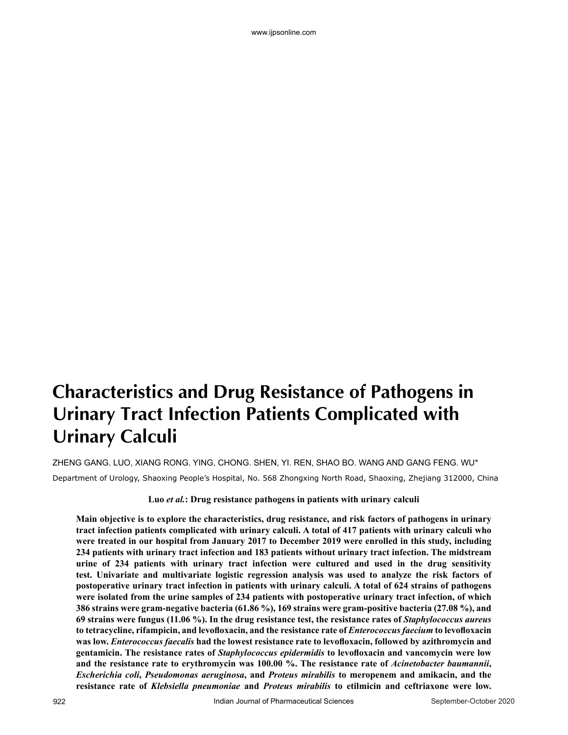# **Characteristics and Drug Resistance of Pathogens in Urinary Tract Infection Patients Complicated with Urinary Calculi**

ZHENG GANG. LUO, XIANG RONG. YING, CHONG. SHEN, YI. REN, SHAO BO. WANG AND GANG FENG. WU\* Department of Urology, Shaoxing People's Hospital, No. 568 Zhongxing North Road, Shaoxing, Zhejiang 312000, China

# **Luo** *et al.***: Drug resistance pathogens in patients with urinary calculi**

**Main objective is to explore the characteristics, drug resistance, and risk factors of pathogens in urinary tract infection patients complicated with urinary calculi. A total of 417 patients with urinary calculi who were treated in our hospital from January 2017 to December 2019 were enrolled in this study, including 234 patients with urinary tract infection and 183 patients without urinary tract infection. The midstream urine of 234 patients with urinary tract infection were cultured and used in the drug sensitivity test. Univariate and multivariate logistic regression analysis was used to analyze the risk factors of postoperative urinary tract infection in patients with urinary calculi. A total of 624 strains of pathogens were isolated from the urine samples of 234 patients with postoperative urinary tract infection, of which 386 strains were gram-negative bacteria (61.86 %), 169 strains were gram-positive bacteria (27.08 %), and 69 strains were fungus (11.06 %). In the drug resistance test, the resistance rates of** *Staphylococcus aureus* **to tetracycline, rifampicin, and levofloxacin, and the resistance rate of** *Enterococcus faecium* **to levofloxacin was low.** *Enterococcus faecalis* **had the lowest resistance rate to levofloxacin, followed by azithromycin and gentamicin. The resistance rates of** *Staphylococcus epidermidis* **to levofloxacin and vancomycin were low and the resistance rate to erythromycin was 100.00 %. The resistance rate of** *Acinetobacter baumannii***,**  *Escherichia coli***,** *Pseudomonas aeruginosa***, and** *Proteus mirabilis* **to meropenem and amikacin, and the resistance rate of** *Klebsiella pneumoniae* **and** *Proteus mirabilis* **to etilmicin and ceftriaxone were low.**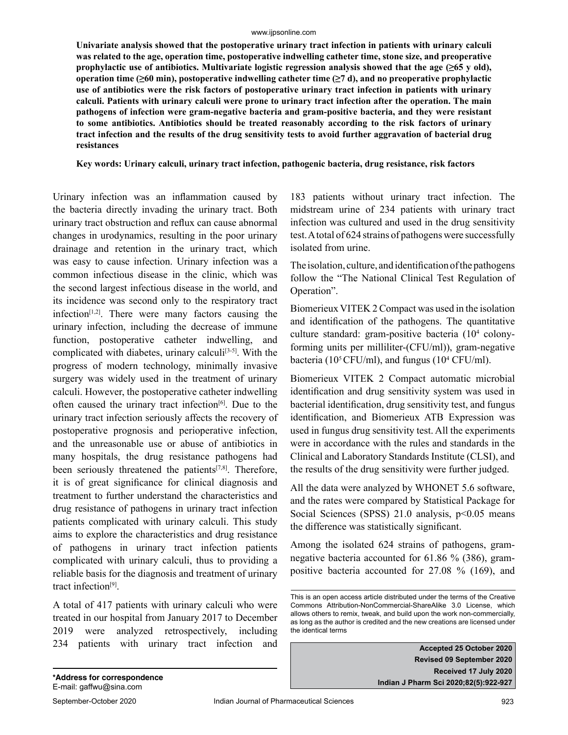#### www.ijpsonline.com

**Univariate analysis showed that the postoperative urinary tract infection in patients with urinary calculi was related to the age, operation time, postoperative indwelling catheter time, stone size, and preoperative prophylactic use of antibiotics. Multivariate logistic regression analysis showed that the age**  $(\geq 65 \text{ y old})$ **, operation time (≥60 min), postoperative indwelling catheter time (≥7 d), and no preoperative prophylactic use of antibiotics were the risk factors of postoperative urinary tract infection in patients with urinary calculi. Patients with urinary calculi were prone to urinary tract infection after the operation. The main pathogens of infection were gram-negative bacteria and gram-positive bacteria, and they were resistant to some antibiotics. Antibiotics should be treated reasonably according to the risk factors of urinary tract infection and the results of the drug sensitivity tests to avoid further aggravation of bacterial drug resistances**

**Key words: Urinary calculi, urinary tract infection, pathogenic bacteria, drug resistance, risk factors**

Urinary infection was an inflammation caused by the bacteria directly invading the urinary tract. Both urinary tract obstruction and reflux can cause abnormal changes in urodynamics, resulting in the poor urinary drainage and retention in the urinary tract, which was easy to cause infection. Urinary infection was a common infectious disease in the clinic, which was the second largest infectious disease in the world, and its incidence was second only to the respiratory tract infection $[1,2]$ . There were many factors causing the urinary infection, including the decrease of immune function, postoperative catheter indwelling, and complicated with diabetes, urinary calculi<sup>[3-5]</sup>. With the progress of modern technology, minimally invasive surgery was widely used in the treatment of urinary calculi. However, the postoperative catheter indwelling often caused the urinary tract infection<sup>[6]</sup>. Due to the urinary tract infection seriously affects the recovery of postoperative prognosis and perioperative infection, and the unreasonable use or abuse of antibiotics in many hospitals, the drug resistance pathogens had been seriously threatened the patients $[7,8]$ . Therefore, it is of great significance for clinical diagnosis and treatment to further understand the characteristics and drug resistance of pathogens in urinary tract infection patients complicated with urinary calculi. This study aims to explore the characteristics and drug resistance of pathogens in urinary tract infection patients complicated with urinary calculi, thus to providing a reliable basis for the diagnosis and treatment of urinary tract infection[9].

A total of 417 patients with urinary calculi who were treated in our hospital from January 2017 to December 2019 were analyzed retrospectively, including 234 patients with urinary tract infection and

183 patients without urinary tract infection. The midstream urine of 234 patients with urinary tract infection was cultured and used in the drug sensitivity test. A total of 624 strains of pathogens were successfully isolated from urine.

The isolation, culture, and identification of the pathogens follow the "The National Clinical Test Regulation of Operation".

Biomerieux VITEK 2 Compact was used in the isolation and identification of the pathogens. The quantitative culture standard: gram-positive bacteria (104 colonyforming units per milliliter-(CFU/ml)), gram-negative bacteria (10<sup>5</sup> CFU/ml), and fungus (10<sup>4</sup> CFU/ml).

Biomerieux VITEK 2 Compact automatic microbial identification and drug sensitivity system was used in bacterial identification, drug sensitivity test, and fungus identification, and Biomerieux ATB Expression was used in fungus drug sensitivity test. All the experiments were in accordance with the rules and standards in the Clinical and Laboratory Standards Institute (CLSI), and the results of the drug sensitivity were further judged.

All the data were analyzed by WHONET 5.6 software, and the rates were compared by Statistical Package for Social Sciences (SPSS)  $21.0$  analysis,  $p<0.05$  means the difference was statistically significant.

Among the isolated 624 strains of pathogens, gramnegative bacteria accounted for 61.86 % (386), grampositive bacteria accounted for 27.08 % (169), and

**Accepted 25 October 2020 Revised 09 September 2020 Received 17 July 2020 Indian J Pharm Sci 2020;82(5):922-927**

This is an open access article distributed under the terms of the Creative Commons Attribution-NonCommercial-ShareAlike 3.0 License, which allows others to remix, tweak, and build upon the work non-commercially, as long as the author is credited and the new creations are licensed under the identical terms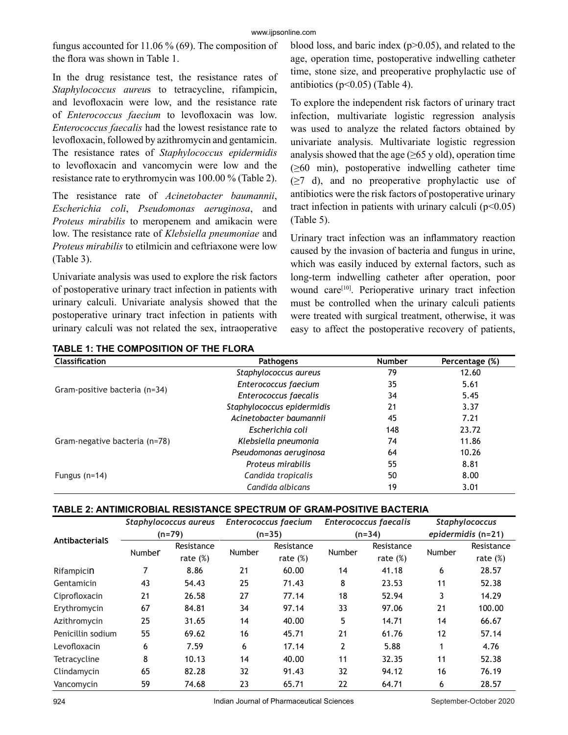fungus accounted for 11.06 % (69). The composition of the flora was shown in Table 1.

In the drug resistance test, the resistance rates of *Staphylococcus aureu*s to tetracycline, rifampicin, and levofloxacin were low, and the resistance rate of *Enterococcus faecium* to levofloxacin was low. *Enterococcus faecalis* had the lowest resistance rate to levofloxacin, followed by azithromycin and gentamicin. The resistance rates of *Staphylococcus epidermidis* to levofloxacin and vancomycin were low and the resistance rate to erythromycin was 100.00 % (Table 2).

The resistance rate of *Acinetobacter baumannii*, *Escherichia coli*, *Pseudomonas aeruginosa*, and *Proteus mirabilis* to meropenem and amikacin were low. The resistance rate of *Klebsiella pneumoniae* and *Proteus mirabilis* to etilmicin and ceftriaxone were low (Table 3).

Univariate analysis was used to explore the risk factors of postoperative urinary tract infection in patients with urinary calculi. Univariate analysis showed that the postoperative urinary tract infection in patients with urinary calculi was not related the sex, intraoperative blood loss, and baric index (p>0.05), and related to the age, operation time, postoperative indwelling catheter time, stone size, and preoperative prophylactic use of antibiotics ( $p<0.05$ ) (Table 4).

To explore the independent risk factors of urinary tract infection, multivariate logistic regression analysis was used to analyze the related factors obtained by univariate analysis. Multivariate logistic regression analysis showed that the age  $(\geq 65 \text{ y old})$ , operation time  $(\geq 60$  min), postoperative indwelling catheter time (≥7 d), and no preoperative prophylactic use of antibiotics were the risk factors of postoperative urinary tract infection in patients with urinary calculi  $(p<0.05)$ (Table 5).

Urinary tract infection was an inflammatory reaction caused by the invasion of bacteria and fungus in urine, which was easily induced by external factors, such as long-term indwelling catheter after operation, poor wound care<sup>[10]</sup>. Perioperative urinary tract infection must be controlled when the urinary calculi patients were treated with surgical treatment, otherwise, it was easy to affect the postoperative recovery of patients,

| <b>Classification</b>         | Pathogens                  | <b>Number</b> | Percentage (%) |
|-------------------------------|----------------------------|---------------|----------------|
|                               | Staphylococcus aureus      | 79            | 12.60          |
|                               | Enterococcus faecium       | 35            | 5.61           |
| Gram-positive bacteria (n=34) | Enterococcus faecalis      | 34            | 5.45           |
|                               | Staphylococcus epidermidis | 21            | 3.37           |
|                               | Acinetobacter baumannii    | 45            | 7.21           |
|                               | Escherichia coli           | 148           | 23.72          |
| Gram-negative bacteria (n=78) | Klebsiella pneumonia       | 74            | 11.86          |
|                               | Pseudomonas aeruginosa     | 64            | 10.26          |
|                               | Proteus mirabilis          | 55            | 8.81           |
| Fungus $(n=14)$               | Candida tropicalis         | 50            | 8.00           |
|                               | Candida albicans           | 19            | 3.01           |

# **TABLE 1: THE COMPOSITION OF THE FLORA**

# **TABLE 2: ANTIMICROBIAL RESISTANCE SPECTRUM OF GRAM-POSITIVE BACTERIA**

|                   | Staphylococcus aureus<br>$(n=79)$ |             |        | <b>Enterococcus faecium</b> |        | <b>Enterococcus faecalis</b> | Staphylococcus<br>epidermidis (n=21) |             |
|-------------------|-----------------------------------|-------------|--------|-----------------------------|--------|------------------------------|--------------------------------------|-------------|
| AntibacterialS    |                                   |             |        | $(n=35)$                    |        | $(n=34)$                     |                                      |             |
|                   | Number                            | Resistance  | Number | Resistance                  | Number | Resistance                   | Number                               | Resistance  |
|                   |                                   | rate $(\%)$ |        | rate $(\%)$                 |        | rate $(\%)$                  |                                      | rate $(\%)$ |
| Rifampicin        | 7                                 | 8.86        | 21     | 60.00                       | 14     | 41.18                        | 6                                    | 28.57       |
| Gentamicin        | 43                                | 54.43       | 25     | 71.43                       | 8      | 23.53                        | 11                                   | 52.38       |
| Ciprofloxacin     | 21                                | 26.58       | 27     | 77.14                       | 18     | 52.94                        | 3                                    | 14.29       |
| Erythromycin      | 67                                | 84.81       | 34     | 97.14                       | 33     | 97.06                        | 21                                   | 100.00      |
| Azithromycin      | 25                                | 31.65       | 14     | 40.00                       | 5      | 14.71                        | 14                                   | 66.67       |
| Penicillin sodium | 55                                | 69.62       | 16     | 45.71                       | 21     | 61.76                        | 12                                   | 57.14       |
| Levofloxacin      | 6                                 | 7.59        | 6      | 17.14                       | 2      | 5.88                         |                                      | 4.76        |
| Tetracycline      | 8                                 | 10.13       | 14     | 40.00                       | 11     | 32.35                        | 11                                   | 52.38       |
| Clindamycin       | 65                                | 82.28       | 32     | 91.43                       | 32     | 94.12                        | 16                                   | 76.19       |
| Vancomycin        | 59                                | 74.68       | 23     | 65.71                       | 22     | 64.71                        | 6                                    | 28.57       |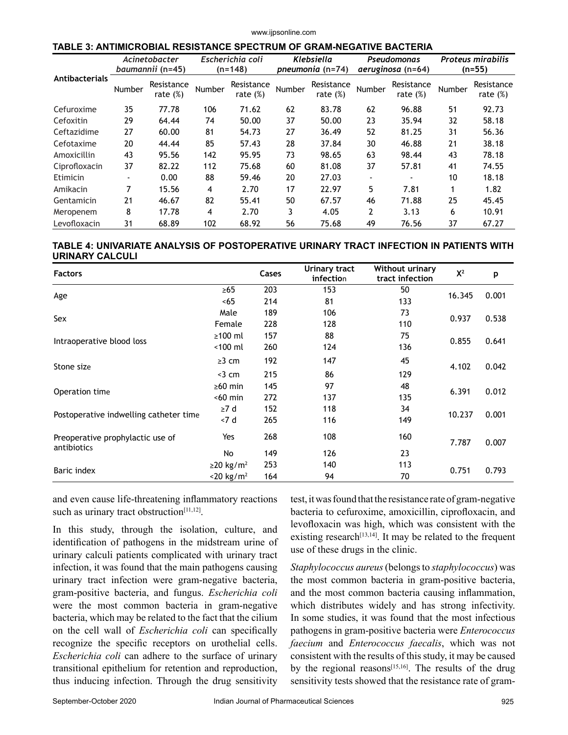#### www.ijpsonline.com

#### **TABLE 3: ANTIMICROBIAL RESISTANCE SPECTRUM OF GRAM-NEGATIVE BACTERIA**

| Antibacterials | Acinetobacter<br>baumannii (n=45) |                           | Escherichia coli<br>$(n=148)$ |                           | Klebsiella<br>pneumonia (n=74) |                           | Pseudomonas<br>aeruginosa (n=64) |                           | <b>Proteus mirabilis</b><br>$(n=55)$ |                           |
|----------------|-----------------------------------|---------------------------|-------------------------------|---------------------------|--------------------------------|---------------------------|----------------------------------|---------------------------|--------------------------------------|---------------------------|
|                | Number                            | Resistance<br>rate $(\%)$ | Number                        | Resistance<br>rate $(\%)$ | Number                         | Resistance<br>rate $(\%)$ | Number                           | Resistance<br>rate $(\%)$ | Number                               | Resistance<br>rate $(\%)$ |
| Cefuroxime     | 35                                | 77.78                     | 106                           | 71.62                     | 62                             | 83.78                     | 62                               | 96.88                     | 51                                   | 92.73                     |
| Cefoxitin      | 29                                | 64.44                     | 74                            | 50.00                     | 37                             | 50.00                     | 23                               | 35.94                     | 32                                   | 58.18                     |
| Ceftazidime    | 27                                | 60.00                     | 81                            | 54.73                     | 27                             | 36.49                     | 52                               | 81.25                     | 31                                   | 56.36                     |
| Cefotaxime     | 20                                | 44.44                     | 85                            | 57.43                     | 28                             | 37.84                     | 30                               | 46.88                     | 21                                   | 38.18                     |
| Amoxicillin    | 43                                | 95.56                     | 142                           | 95.95                     | 73                             | 98.65                     | 63                               | 98.44                     | 43                                   | 78.18                     |
| Ciprofloxacin  | 37                                | 82.22                     | 112                           | 75.68                     | 60                             | 81.08                     | 37                               | 57.81                     | 41                                   | 74.55                     |
| Etimicin       | ٠                                 | 0.00                      | 88                            | 59.46                     | 20                             | 27.03                     | $\blacksquare$                   |                           | 10                                   | 18.18                     |
| Amikacin       | 7                                 | 15.56                     | 4                             | 2.70                      | 17                             | 22.97                     | 5                                | 7.81                      | $\mathbf{1}$                         | 1.82                      |
| Gentamicin     | 21                                | 46.67                     | 82                            | 55.41                     | 50                             | 67.57                     | 46                               | 71.88                     | 25                                   | 45.45                     |
| Meropenem      | 8                                 | 17.78                     | 4                             | 2.70                      | 3                              | 4.05                      | 2                                | 3.13                      | 6                                    | 10.91                     |
| Levofloxacin   | 31                                | 68.89                     | 102                           | 68.92                     | 56                             | 75.68                     | 49                               | 76.56                     | 37                                   | 67.27                     |

# **TABLE 4: UNIVARIATE ANALYSIS OF POSTOPERATIVE URINARY TRACT INFECTION IN PATIENTS WITH URINARY CALCULI**

| <b>Factors</b>                                  |                             | Cases | Urinary tract<br><b>infection</b> | <b>Without urinary</b><br>tract infection | $X^2$  | p     |
|-------------------------------------------------|-----------------------------|-------|-----------------------------------|-------------------------------------------|--------|-------|
|                                                 | $\geq 65$                   | 203   | 153                               | 50                                        | 16.345 | 0.001 |
| Age                                             | <65                         | 214   | 81                                | 133                                       |        |       |
|                                                 | Male                        | 189   | 106                               | 73                                        |        | 0.538 |
| Sex                                             | Female                      | 228   | 128                               | 110                                       | 0.937  |       |
|                                                 | $\geq 100$ ml               | 157   | 88                                | 75                                        |        | 0.641 |
| Intraoperative blood loss                       | $<$ 100 $ml$                | 260   | 124                               | 136                                       | 0.855  |       |
| Stone size                                      | $\geq$ 3 cm                 | 192   | 147                               | 45                                        | 4.102  | 0.042 |
|                                                 | $<$ 3 cm                    | 215   | 86                                | 129                                       |        |       |
|                                                 | $\geq 60$ min               | 145   | 97                                | 48                                        |        |       |
| Operation time                                  | $< 60$ min                  | 272   | 137                               | 135                                       | 6.391  | 0.012 |
|                                                 | $\geq 7$ d                  | 152   | 118                               | 34                                        |        | 0.001 |
| Postoperative indwelling catheter time          | < 7 d                       | 265   | 116                               | 149                                       | 10.237 |       |
| Preoperative prophylactic use of<br>antibiotics | Yes                         | 268   | 108                               | 160                                       | 7.787  | 0.007 |
|                                                 | No                          | 149   | 126                               | 23                                        |        |       |
|                                                 | $\geq$ 20 kg/m <sup>2</sup> | 253   | 140                               | 113                                       |        | 0.793 |
| Baric index                                     | $<$ 20 kg/m <sup>2</sup>    | 164   | 94                                | 70                                        | 0.751  |       |

and even cause life-threatening inflammatory reactions such as urinary tract obstruction<sup>[11,12]</sup>.

In this study, through the isolation, culture, and identification of pathogens in the midstream urine of urinary calculi patients complicated with urinary tract infection, it was found that the main pathogens causing urinary tract infection were gram-negative bacteria, gram-positive bacteria, and fungus. *Escherichia coli* were the most common bacteria in gram-negative bacteria, which may be related to the fact that the cilium on the cell wall of *Escherichia coli* can specifically recognize the specific receptors on urothelial cells. *Escherichia coli* can adhere to the surface of urinary transitional epithelium for retention and reproduction, thus inducing infection. Through the drug sensitivity

test, it was found that the resistance rate of gram-negative bacteria to cefuroxime, amoxicillin, ciprofloxacin, and levofloxacin was high, which was consistent with the existing research<sup> $[13,14]$ </sup>. It may be related to the frequent use of these drugs in the clinic.

*Staphylococcus aureus* (belongs to *staphylococcus*) was the most common bacteria in gram-positive bacteria, and the most common bacteria causing inflammation, which distributes widely and has strong infectivity. In some studies, it was found that the most infectious pathogens in gram-positive bacteria were *Enterococcus faecium* and *Enterococcus faecalis*, which was not consistent with the results of this study, it may be caused by the regional reasons $[15,16]$ . The results of the drug sensitivity tests showed that the resistance rate of gram-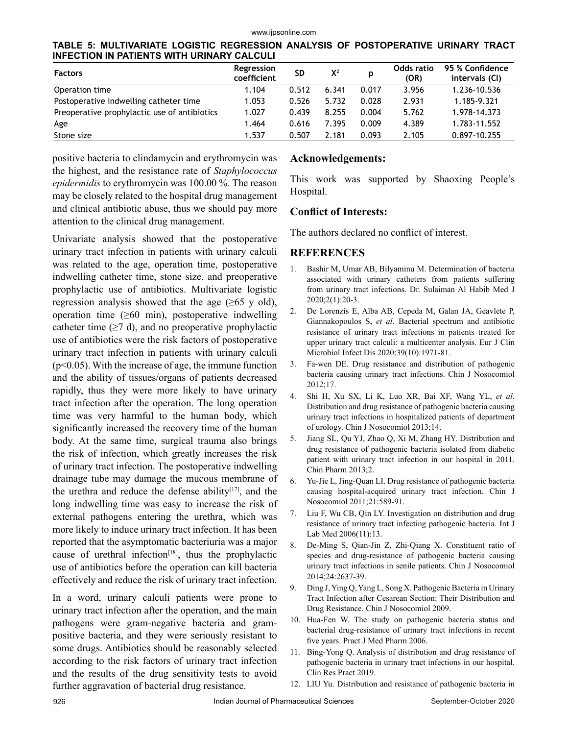**TABLE 5: MULTIVARIATE LOGISTIC REGRESSION ANALYSIS OF POSTOPERATIVE URINARY TRACT INFECTION IN PATIENTS WITH URINARY CALCULI**

| <b>Factors</b>                               | Regression<br>coefficient | <b>SD</b> | $X^2$ | p     | Odds ratio<br>(OR) | 95 % Confidence<br>intervals (CI) |
|----------------------------------------------|---------------------------|-----------|-------|-------|--------------------|-----------------------------------|
| Operation time                               | 1.104                     | 0.512     | 6.341 | 0.017 | 3.956              | 1.236-10.536                      |
| Postoperative indwelling catheter time       | 1.053                     | 0.526     | 5.732 | 0.028 | 2.931              | 1.185-9.321                       |
| Preoperative prophylactic use of antibiotics | 1.027                     | 0.439     | 8.255 | 0.004 | 5.762              | 1.978-14.373                      |
| Age                                          | 1.464                     | 0.616     | 7.395 | 0.009 | 4.389              | 1.783-11.552                      |
| Stone size                                   | 1.537                     | 0.507     | 2.181 | 0.093 | 2.105              | 0.897-10.255                      |

positive bacteria to clindamycin and erythromycin was the highest, and the resistance rate of *Staphylococcus epidermidis* to erythromycin was 100.00 %. The reason may be closely related to the hospital drug management and clinical antibiotic abuse, thus we should pay more attention to the clinical drug management.

Univariate analysis showed that the postoperative urinary tract infection in patients with urinary calculi was related to the age, operation time, postoperative indwelling catheter time, stone size, and preoperative prophylactic use of antibiotics. Multivariate logistic regression analysis showed that the age  $(\geq 65 \text{ y old})$ , operation time  $(\geq 60 \text{ min})$ , postoperative indwelling catheter time  $(\geq 7 \text{ d})$ , and no preoperative prophylactic use of antibiotics were the risk factors of postoperative urinary tract infection in patients with urinary calculi  $(p<0.05)$ . With the increase of age, the immune function and the ability of tissues/organs of patients decreased rapidly, thus they were more likely to have urinary tract infection after the operation. The long operation time was very harmful to the human body, which significantly increased the recovery time of the human body. At the same time, surgical trauma also brings the risk of infection, which greatly increases the risk of urinary tract infection. The postoperative indwelling drainage tube may damage the mucous membrane of the urethra and reduce the defense ability $[17]$ , and the long indwelling time was easy to increase the risk of external pathogens entering the urethra, which was more likely to induce urinary tract infection. It has been reported that the asymptomatic bacteriuria was a major cause of urethral infection $[18]$ , thus the prophylactic use of antibiotics before the operation can kill bacteria effectively and reduce the risk of urinary tract infection.

In a word, urinary calculi patients were prone to urinary tract infection after the operation, and the main pathogens were gram-negative bacteria and grampositive bacteria, and they were seriously resistant to some drugs. Antibiotics should be reasonably selected according to the risk factors of urinary tract infection and the results of the drug sensitivity tests to avoid further aggravation of bacterial drug resistance.

### **Acknowledgements:**

This work was supported by Shaoxing People's Hospital.

# **Conflict of Interests:**

The authors declared no conflict of interest.

# **REFERENCES**

- 1. Bashir M, Umar AB, Bilyaminu M. Determination of bacteria associated with urinary catheters from patients suffering from urinary tract infections. Dr. Sulaiman Al Habib Med J 2020;2(1):20-3.
- 2. De Lorenzis E, Alba AB, Cepeda M, Galan JA, Geavlete P, Giannakopoulos S, *et al*. Bacterial spectrum and antibiotic resistance of urinary tract infections in patients treated for upper urinary tract calculi: a multicenter analysis. Eur J Clin Microbiol Infect Dis 2020;39(10):1971-81.
- 3. Fa-wen DE. Drug resistance and distribution of pathogenic bacteria causing urinary tract infections. Chin J Nosocomiol 2012;17.
- 4. Shi H, Xu SX, Li K, Luo XR, Bai XF, Wang YL, *et al*. Distribution and drug resistance of pathogenic bacteria causing urinary tract infections in hospitalized patients of department of urology. Chin J Nosocomiol 2013;14.
- 5. Jiang SL, Qu YJ, Zhao Q, Xi M, Zhang HY. Distribution and drug resistance of pathogenic bacteria isolated from diabetic patient with urinary tract infection in our hospital in 2011. Chin Pharm 2013;2.
- 6. Yu-Jie L, Jing-Quan LI. Drug resistance of pathogenic bacteria causing hospital-acquired urinary tract infection. Chin J Nosocomiol 2011;21:589-91.
- 7. Liu F, Wu CB, Qin LY. Investigation on distribution and drug resistance of urinary tract infecting pathogenic bacteria. Int J Lab Med 2006(11):13.
- 8. De-Ming S, Qian-Jin Z, Zhi-Qiang X. Constituent ratio of species and drug-resistance of pathogenic bacteria causing urinary tract infections in senile patients. Chin J Nosocomiol 2014;24:2637-39.
- 9. Ding J, Ying Q, Yang L, Song X. Pathogenic Bacteria in Urinary Tract Infection after Cesarean Section: Their Distribution and Drug Resistance. Chin J Nosocomiol 2009.
- 10. Hua-Fen W. The study on pathogenic bacteria status and bacterial drug-resistance of urinary tract infections in recent five years. Pract J Med Pharm 2006.
- 11. Bing-Yong Q. Analysis of distribution and drug resistance of pathogenic bacteria in urinary tract infections in our hospital. Clin Res Pract 2019.
- 12. LIU Yu. Distribution and resistance of pathogenic bacteria in